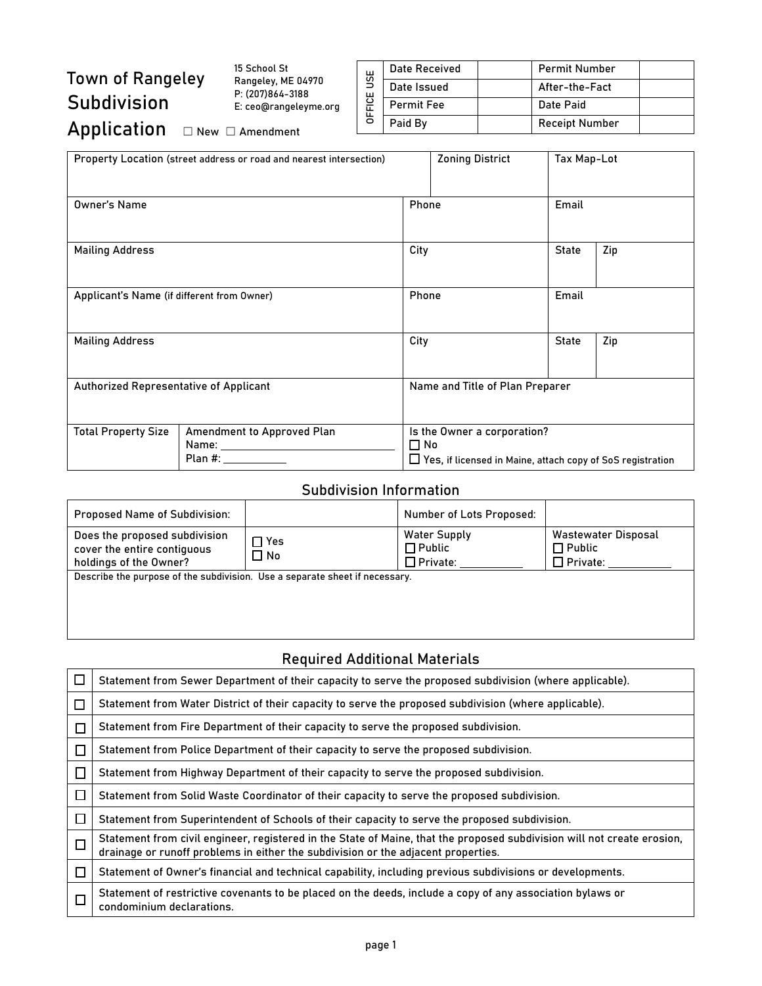# Town of Rangeley Subdivision

15 School St Rangeley, ME 04970 P: (207)864-3188 E: ceo@rangeleyme.org

|        | Date Received     | <b>Permit Number</b>  |  |
|--------|-------------------|-----------------------|--|
| ys     | Date Issued       | After-the-Fact        |  |
| DFFICE | <b>Permit Fee</b> | Date Paid             |  |
|        | Paid By           | <b>Receipt Number</b> |  |
|        |                   |                       |  |

## Application  $□$  New □ Amendment

| Property Location (street address or road and nearest intersection) |                                                                                                                                                                                                                                                                         |                                                                                                          | <b>Zoning District</b> | Tax Map-Lot  |       |  |
|---------------------------------------------------------------------|-------------------------------------------------------------------------------------------------------------------------------------------------------------------------------------------------------------------------------------------------------------------------|----------------------------------------------------------------------------------------------------------|------------------------|--------------|-------|--|
| <b>Owner's Name</b>                                                 |                                                                                                                                                                                                                                                                         |                                                                                                          | Phone                  |              | Email |  |
| <b>Mailing Address</b>                                              |                                                                                                                                                                                                                                                                         | City                                                                                                     |                        | <b>State</b> | Zip   |  |
| Applicant's Name (if different from Owner)                          |                                                                                                                                                                                                                                                                         | Phone                                                                                                    |                        | Email        |       |  |
| <b>Mailing Address</b>                                              |                                                                                                                                                                                                                                                                         | City                                                                                                     |                        | <b>State</b> | Zip   |  |
| Authorized Representative of Applicant                              |                                                                                                                                                                                                                                                                         | Name and Title of Plan Preparer                                                                          |                        |              |       |  |
| <b>Total Property Size</b>                                          | Amendment to Approved Plan<br>Name: when the control of the control of the control of the control of the control of the control of the control of the control of the control of the control of the control of the control of the control of the control of t<br>Plan #: | Is the Owner a corporation?<br>$\Box$ No<br>□ Yes, if licensed in Maine, attach copy of SoS registration |                        |              |       |  |

#### Subdivision Information

| <b>Proposed Name of Subdivision:</b>                                                   |                    | Number of Lots Proposed:                                |                                                         |  |
|----------------------------------------------------------------------------------------|--------------------|---------------------------------------------------------|---------------------------------------------------------|--|
| Does the proposed subdivision<br>cover the entire contiguous<br>holdings of the Owner? | ר Yes<br>$\Box$ No | <b>Water Supply</b><br>$\Box$ Public<br>$\Box$ Private: | Wastewater Disposal<br>$\Box$ Public<br>$\Box$ Private: |  |
| Describe the purpose of the subdivision. Use a separate sheet if necessary.            |                    |                                                         |                                                         |  |
|                                                                                        |                    |                                                         |                                                         |  |
|                                                                                        |                    |                                                         |                                                         |  |

### Required Additional Materials

| Statement from Sewer Department of their capacity to serve the proposed subdivision (where applicable).                                                                                                      |
|--------------------------------------------------------------------------------------------------------------------------------------------------------------------------------------------------------------|
| Statement from Water District of their capacity to serve the proposed subdivision (where applicable).                                                                                                        |
| Statement from Fire Department of their capacity to serve the proposed subdivision.                                                                                                                          |
| Statement from Police Department of their capacity to serve the proposed subdivision.                                                                                                                        |
| Statement from Highway Department of their capacity to serve the proposed subdivision.                                                                                                                       |
| Statement from Solid Waste Coordinator of their capacity to serve the proposed subdivision.                                                                                                                  |
| Statement from Superintendent of Schools of their capacity to serve the proposed subdivision.                                                                                                                |
| Statement from civil engineer, registered in the State of Maine, that the proposed subdivision will not create erosion,<br>drainage or runoff problems in either the subdivision or the adjacent properties. |
| Statement of Owner's financial and technical capability, including previous subdivisions or developments.                                                                                                    |
| Statement of restrictive covenants to be placed on the deeds, include a copy of any association bylaws or<br>condominium declarations.                                                                       |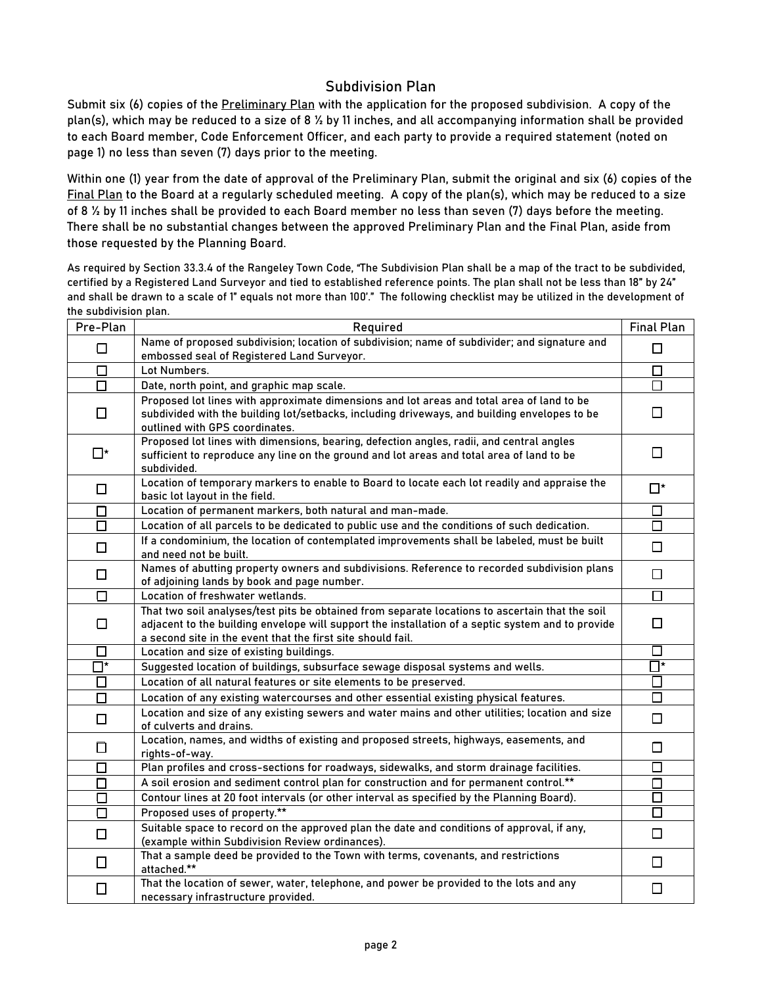#### Subdivision Plan

Submit six (6) copies of the Preliminary Plan with the application for the proposed subdivision. A copy of the plan(s), which may be reduced to a size of 8 ½ by 11 inches, and all accompanying information shall be provided to each Board member, Code Enforcement Officer, and each party to provide a required statement (noted on page 1) no less than seven (7) days prior to the meeting.

Within one (1) year from the date of approval of the Preliminary Plan, submit the original and six (6) copies of the Final Plan to the Board at a regularly scheduled meeting. A copy of the plan(s), which may be reduced to a size of 8 ½ by 11 inches shall be provided to each Board member no less than seven (7) days before the meeting. There shall be no substantial changes between the approved Preliminary Plan and the Final Plan, aside from those requested by the Planning Board.

As required by Section 33.3.4 of the Rangeley Town Code, "The Subdivision Plan shall be a map of the tract to be subdivided, certified by a Registered Land Surveyor and tied to established reference points. The plan shall not be less than 18" by 24" and shall be drawn to a scale of 1" equals not more than 100'." The following checklist may be utilized in the development of the subdivision plan.

| Pre-Plan              | Required                                                                                                                                                                                                                                                            | <b>Final Plan</b> |
|-----------------------|---------------------------------------------------------------------------------------------------------------------------------------------------------------------------------------------------------------------------------------------------------------------|-------------------|
| $\Box$                | Name of proposed subdivision; location of subdivision; name of subdivider; and signature and<br>embossed seal of Registered Land Surveyor.                                                                                                                          |                   |
| $\Box$                | Lot Numbers.                                                                                                                                                                                                                                                        | □                 |
| □                     | Date, north point, and graphic map scale.                                                                                                                                                                                                                           | □                 |
| $\Box$                | Proposed lot lines with approximate dimensions and lot areas and total area of land to be<br>subdivided with the building lot/setbacks, including driveways, and building envelopes to be<br>outlined with GPS coordinates.                                         | П                 |
| Π∗                    | Proposed lot lines with dimensions, bearing, defection angles, radii, and central angles<br>sufficient to reproduce any line on the ground and lot areas and total area of land to be<br>subdivided.                                                                | $\perp$           |
| □                     | Location of temporary markers to enable to Board to locate each lot readily and appraise the<br>basic lot layout in the field.                                                                                                                                      | ⊡*                |
| □                     | Location of permanent markers, both natural and man-made.                                                                                                                                                                                                           | □                 |
| $\Box$                | Location of all parcels to be dedicated to public use and the conditions of such dedication.                                                                                                                                                                        | □                 |
| $\Box$                | If a condominium, the location of contemplated improvements shall be labeled, must be built<br>and need not be built.                                                                                                                                               | □                 |
| $\Box$                | Names of abutting property owners and subdivisions. Reference to recorded subdivision plans<br>of adjoining lands by book and page number.                                                                                                                          | $\Box$            |
| $\Box$                | Location of freshwater wetlands.                                                                                                                                                                                                                                    | □                 |
| □                     | That two soil analyses/test pits be obtained from separate locations to ascertain that the soil<br>adjacent to the building envelope will support the installation of a septic system and to provide<br>a second site in the event that the first site should fail. | П                 |
| $\Box$                | Location and size of existing buildings.                                                                                                                                                                                                                            | □                 |
| $\overline{\Box}{}^*$ | Suggested location of buildings, subsurface sewage disposal systems and wells.                                                                                                                                                                                      | $\Box^*$          |
| □                     | Location of all natural features or site elements to be preserved.                                                                                                                                                                                                  | $\Box$            |
| $\Box$                | Location of any existing watercourses and other essential existing physical features.                                                                                                                                                                               | □                 |
| $\Box$                | Location and size of any existing sewers and water mains and other utilities; location and size<br>of culverts and drains.                                                                                                                                          | □                 |
| □                     | Location, names, and widths of existing and proposed streets, highways, easements, and<br>rights-of-way.                                                                                                                                                            | □                 |
| □                     | Plan profiles and cross-sections for roadways, sidewalks, and storm drainage facilities.                                                                                                                                                                            | □                 |
| $\Box$                | A soil erosion and sediment control plan for construction and for permanent control.**                                                                                                                                                                              | □                 |
| $\Box$                | Contour lines at 20 foot intervals (or other interval as specified by the Planning Board).                                                                                                                                                                          | □                 |
| $\Box$                | Proposed uses of property.**                                                                                                                                                                                                                                        | □                 |
| $\Box$                | Suitable space to record on the approved plan the date and conditions of approval, if any,<br>(example within Subdivision Review ordinances).                                                                                                                       | $\Box$            |
| □                     | That a sample deed be provided to the Town with terms, covenants, and restrictions<br>attached.**                                                                                                                                                                   | $\Box$            |
| $\Box$                | That the location of sewer, water, telephone, and power be provided to the lots and any<br>necessary infrastructure provided.                                                                                                                                       | □                 |